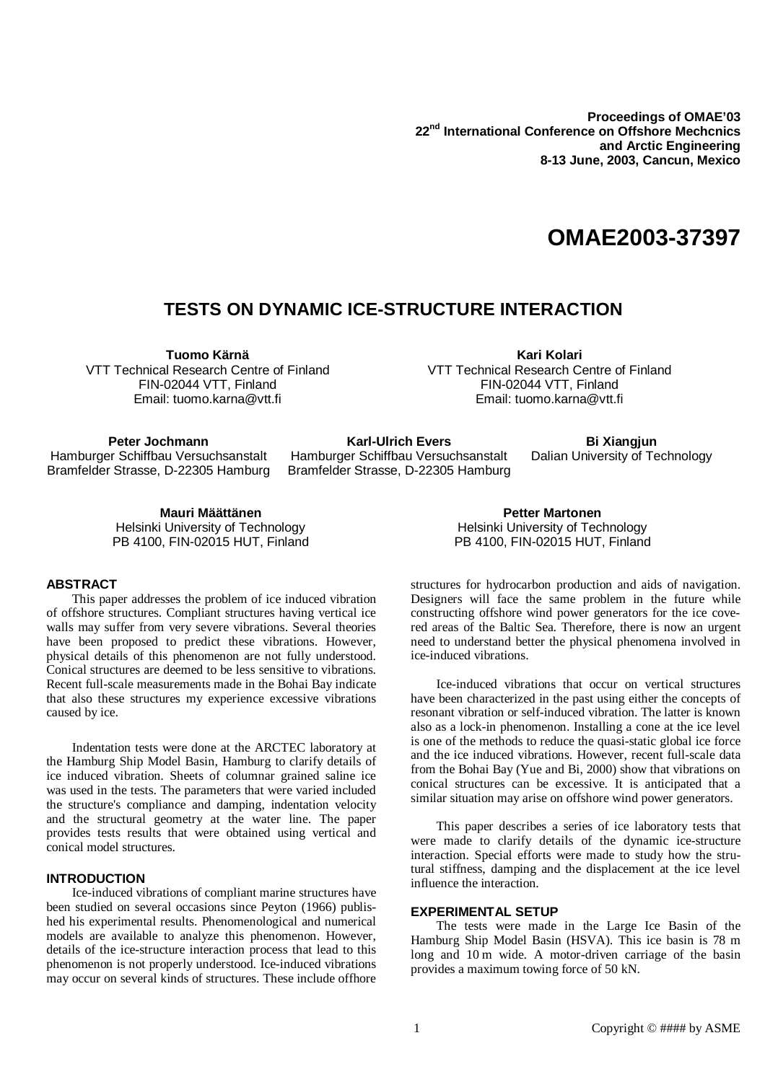**Proceedings of OMAE'03 22 nd International Conference on Offshore Mechcnics and Arctic Engineering 8-13 June, 2003, Cancun, Mexico**

# **OMAE2003-37397**

# **TESTS ON DYNAMIC ICE-STRUCTURE INTERACTION**

**Tuomo Kärnä**

VTT Technical Research Centre of Finland FIN-02044 VTT, Finland Email: tuomo.karna@vtt.fi

**Kari Kolari** VTT Technical Research Centre of Finland FIN-02044 VTT, Finland Email: tuomo.karna@vtt.fi

**Peter Jochmann** Hamburger Schiffbau Versuchsanstalt Bramfelder Strasse, D-22305 Hamburg

**Karl-Ulrich Evers** Hamburger Schiffbau Versuchsanstalt Bramfelder Strasse, D-22305 Hamburg

**Bi Xiangjun** Dalian University of Technology

**Mauri Määttänen** Helsinki University of Technology PB 4100, FIN-02015 HUT, Finland

### **ABSTRACT**

This paper addresses the problem of ice induced vibration of offshore structures. Compliant structures having vertical ice walls may suffer from very severe vibrations. Several theories have been proposed to predict these vibrations. However, physical details of this phenomenon are not fully understood. Conical structures are deemed to be less sensitive to vibrations. Recent full-scale measurements made in the Bohai Bay indicate that also these structures my experience excessive vibrations caused by ice.

Indentation tests were done at the ARCTEC laboratory at the Hamburg Ship Model Basin, Hamburg to clarify details of ice induced vibration. Sheets of columnar grained saline ice was used in the tests. The parameters that were varied included the structure's compliance and damping, indentation velocity and the structural geometry at the water line. The paper provides tests results that were obtained using vertical and conical model structures.

## **INTRODUCTION**

Ice-induced vibrations of compliant marine structures have been studied on several occasions since Peyton (1966) published his experimental results. Phenomenological and numerical models are available to analyze this phenomenon. However, details of the ice-structure interaction process that lead to this phenomenon is not properly understood. Ice-induced vibrations may occur on several kinds of structures. These include offhore

**Petter Martonen** Helsinki University of Technology PB 4100, FIN-02015 HUT, Finland

structures for hydrocarbon production and aids of navigation. Designers will face the same problem in the future while constructing offshore wind power generators for the ice covered areas of the Baltic Sea. Therefore, there is now an urgent need to understand better the physical phenomena involved in ice-induced vibrations.

Ice-induced vibrations that occur on vertical structures have been characterized in the past using either the concepts of resonant vibration or self-induced vibration. The latter is known also as a lock-in phenomenon. Installing a cone at the ice level is one of the methods to reduce the quasi-static global ice force and the ice induced vibrations. However, recent full-scale data from the Bohai Bay (Yue and Bi, 2000) show that vibrations on conical structures can be excessive. It is anticipated that a similar situation may arise on offshore wind power generators.

This paper describes a series of ice laboratory tests that were made to clarify details of the dynamic ice-structure interaction. Special efforts were made to study how the strutural stiffness, damping and the displacement at the ice level influence the interaction.

#### **EXPERIMENTAL SETUP**

The tests were made in the Large Ice Basin of the Hamburg Ship Model Basin (HSVA). This ice basin is 78 m long and 10 m wide. A motor-driven carriage of the basin provides a maximum towing force of 50 kN.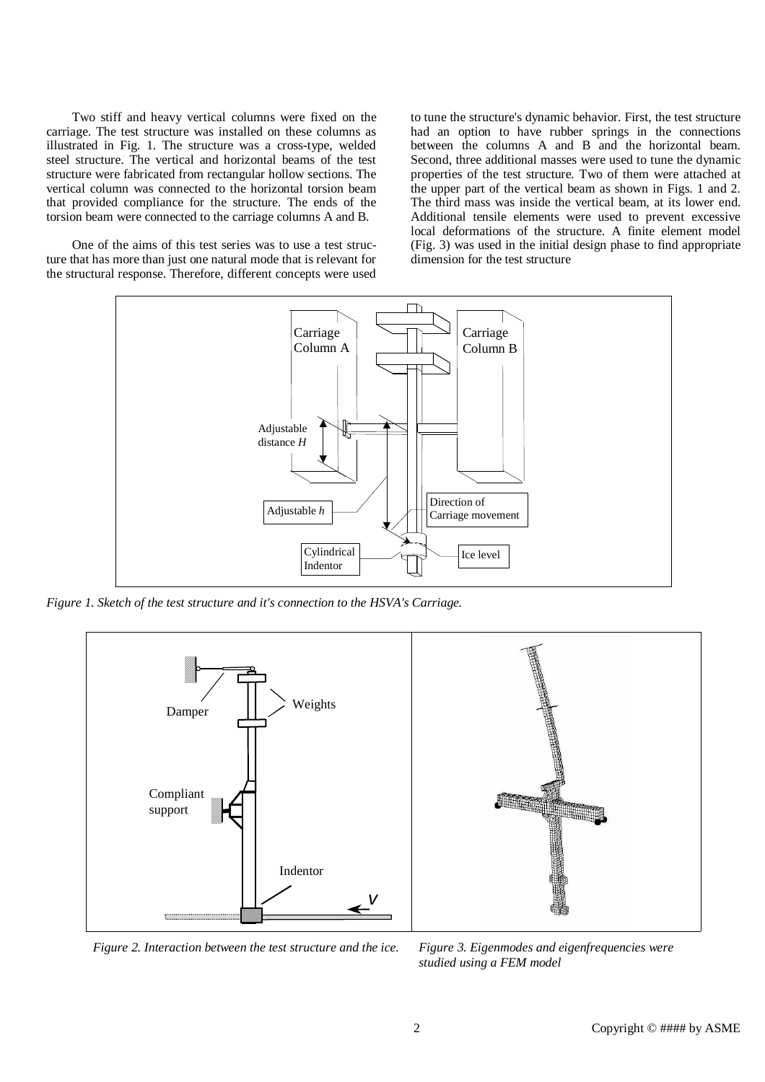Two stiff and heavy vertical columns were fixed on the carriage. The test structure was installed on these columns as illustrated in Fig. 1. The structure was a cross-type, welded steel structure. The vertical and horizontal beams of the test structure were fabricated from rectangular hollow sections. The vertical column was connected to the horizontal torsion beam that provided compliance for the structure. The ends of the torsion beam were connected to the carriage columns A and B.

One of the aims of this test series was to use a test structure that has more than just one natural mode that is relevant for the structural response. Therefore, different concepts were used to tune the structure's dynamic behavior. First, the test structure had an option to have rubber springs in the connections between the columns A and B and the horizontal beam. Second, three additional masses were used to tune the dynamic properties of the test structure. Two of them were attached at the upper part of the vertical beam as shown in Figs. 1 and 2. The third mass was inside the vertical beam, at its lower end. Additional tensile elements were used to prevent excessive local deformations of the structure. A finite element model (Fig. 3) was used in the initial design phase to find appropriate dimension for the test structure



*Figure 1. Sketch of the test structure and it's connection to the HSVA's Carriage.*



*Figure 2. Interaction between the test structure and the ice. Figure 3. Eigenmodes and eigenfrequencies were*

*studied using a FEM model*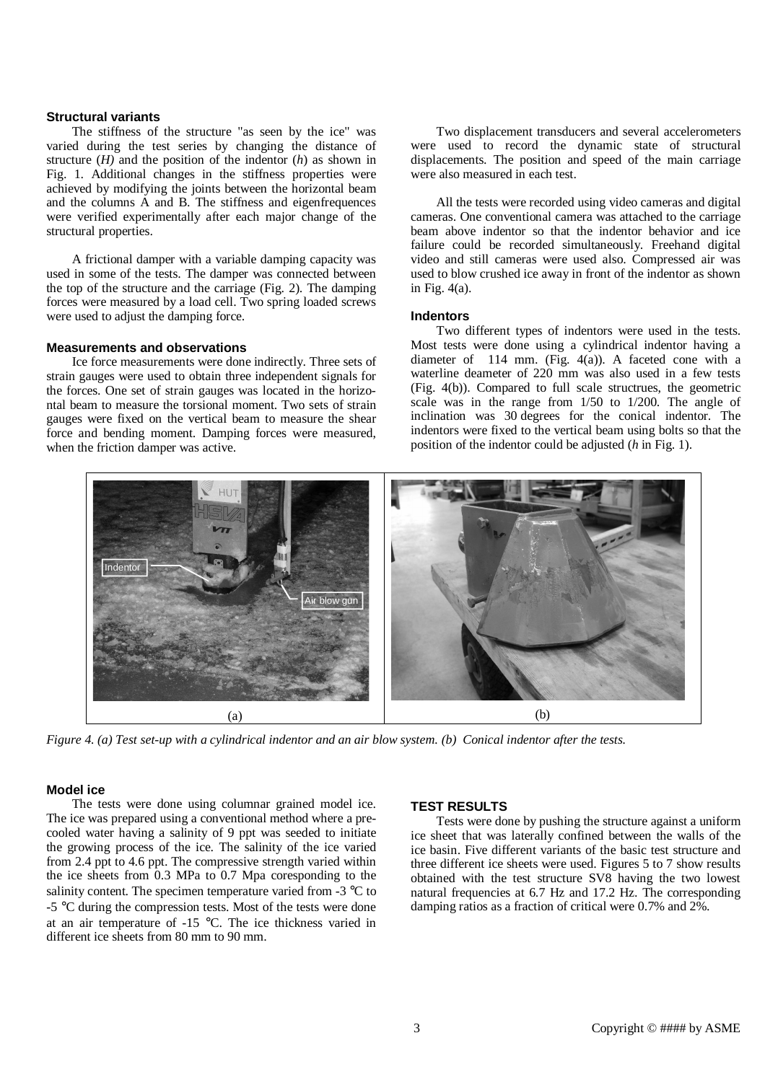#### **Structural variants**

The stiffness of the structure "as seen by the ice" was varied during the test series by changing the distance of structure (*H)* and the position of the indentor (*h*) as shown in Fig. 1. Additional changes in the stiffness properties were achieved by modifying the joints between the horizontal beam and the columns A and B. The stiffness and eigenfrequences were verified experimentally after each major change of the structural properties.

A frictional damper with a variable damping capacity was used in some of the tests. The damper was connected between the top of the structure and the carriage (Fig. 2). The damping forces were measured by a load cell. Two spring loaded screws were used to adjust the damping force.

#### **Measurements and observations**

Ice force measurements were done indirectly. Three sets of strain gauges were used to obtain three independent signals for the forces. One set of strain gauges was located in the horizontal beam to measure the torsional moment. Two sets of strain gauges were fixed on the vertical beam to measure the shear force and bending moment. Damping forces were measured, when the friction damper was active.

Two displacement transducers and several accelerometers were used to record the dynamic state of structural displacements. The position and speed of the main carriage were also measured in each test.

All the tests were recorded using video cameras and digital cameras. One conventional camera was attached to the carriage beam above indentor so that the indentor behavior and ice failure could be recorded simultaneously. Freehand digital video and still cameras were used also. Compressed air was used to blow crushed ice away in front of the indentor as shown in Fig. 4(a).

#### **Indentors**

Two different types of indentors were used in the tests. Most tests were done using a cylindrical indentor having a diameter of  $114 \text{ mm}$ . (Fig. 4(a)). A faceted cone with a waterline deameter of 220 mm was also used in a few tests (Fig. 4(b)). Compared to full scale structrues, the geometric scale was in the range from 1/50 to 1/200. The angle of inclination was 30 degrees for the conical indentor. The indentors were fixed to the vertical beam using bolts so that the position of the indentor could be adjusted (*h* in Fig. 1).



Figure 4. (a) Test set-up with a cylindrical indentor and an air blow system. (b) Conical indentor after the tests.

#### **Model ice**

The tests were done using columnar grained model ice. The ice was prepared using a conventional method where a precooled water having a salinity of 9 ppt was seeded to initiate the growing process of the ice. The salinity of the ice varied from 2.4 ppt to 4.6 ppt. The compressive strength varied within the ice sheets from 0.3 MPa to 0.7 Mpa coresponding to the salinity content. The specimen temperature varied from -3 °C to -5 °C during the compression tests. Most of the tests were done at an air temperature of -15 °C. The ice thickness varied in different ice sheets from 80 mm to 90 mm.

#### **TEST RESULTS**

Tests were done by pushing the structure against a uniform ice sheet that was laterally confined between the walls of the ice basin. Five different variants of the basic test structure and three different ice sheets were used. Figures 5 to 7 show results obtained with the test structure SV8 having the two lowest natural frequencies at 6.7 Hz and 17.2 Hz. The corresponding damping ratios as a fraction of critical were 0.7% and 2%.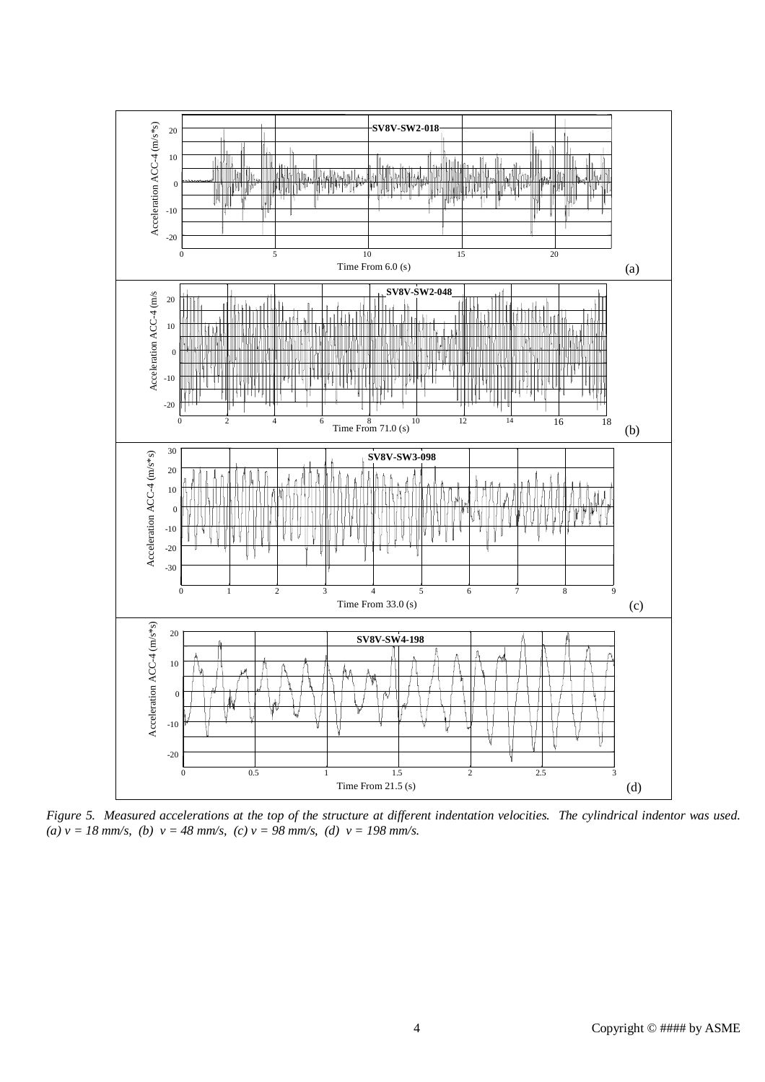

Figure 5. Measured accelerations at the top of the structure at different indentation velocities. The cylindrical indentor was used.  $(a)$   $v = 18$  *mm/s,*  $(b)$   $v = 48$  *mm/s,*  $(c)$   $v = 98$  *mm/s,*  $(d)$   $v = 198$  *mm/s.*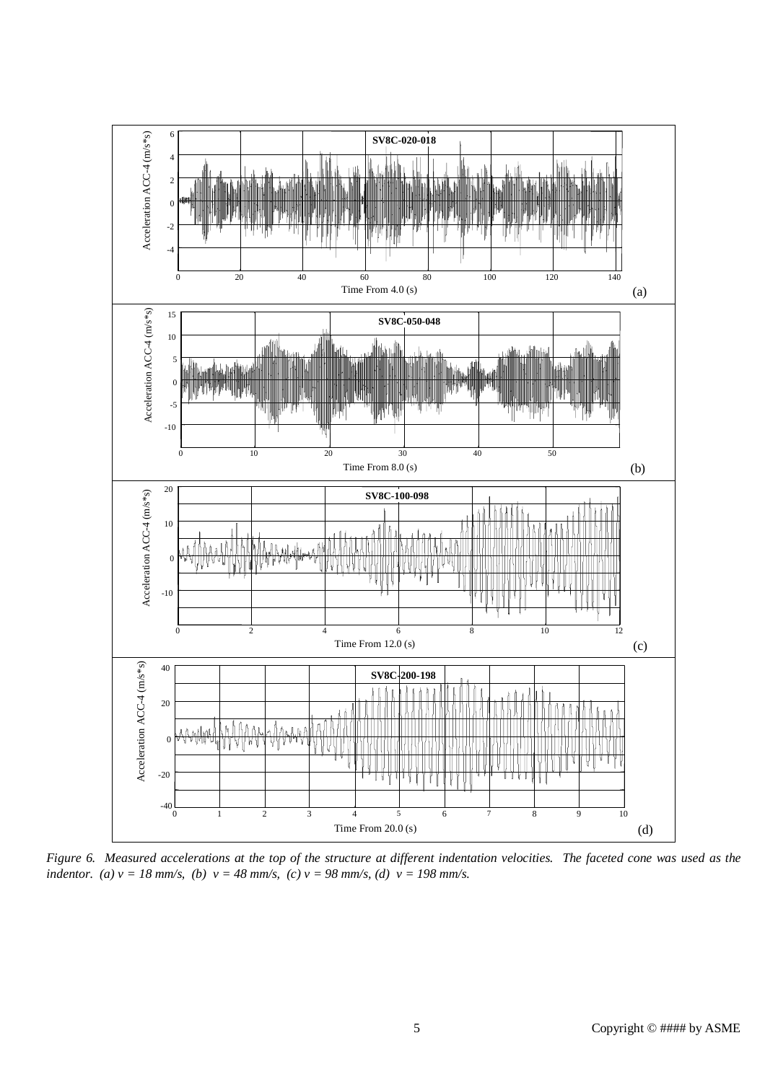

Figure 6. Measured accelerations at the top of the structure at different indentation velocities. The faceted cone was used as the indentor. (a)  $v = 18$  mm/s, (b)  $v = 48$  mm/s, (c)  $v = 98$  mm/s, (d)  $v = 198$  mm/s.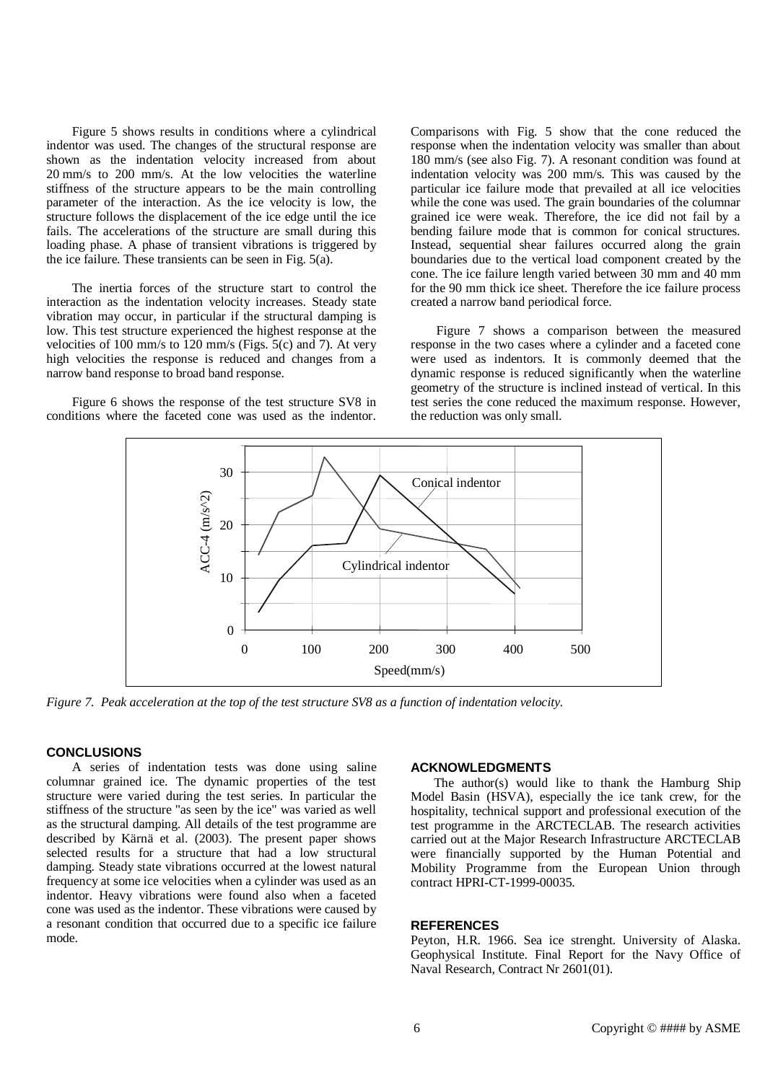Figure 5 shows results in conditions where a cylindrical indentor was used. The changes of the structural response are shown as the indentation velocity increased from about 20 mm/s to 200 mm/s. At the low velocities the waterline stiffness of the structure appears to be the main controlling parameter of the interaction. As the ice velocity is low, the structure follows the displacement of the ice edge until the ice fails. The accelerations of the structure are small during this loading phase. A phase of transient vibrations is triggered by the ice failure. These transients can be seen in Fig. 5(a).

The inertia forces of the structure start to control the interaction as the indentation velocity increases. Steady state vibration may occur, in particular if the structural damping is low. This test structure experienced the highest response at the velocities of 100 mm/s to 120 mm/s (Figs. 5(c) and 7). At very high velocities the response is reduced and changes from a narrow band response to broad band response.

Figure 6 shows the response of the test structure SV8 in conditions where the faceted cone was used as the indentor.

Comparisons with Fig. 5 show that the cone reduced the response when the indentation velocity was smaller than about 180 mm/s (see also Fig. 7). A resonant condition was found at indentation velocity was 200 mm/s. This was caused by the particular ice failure mode that prevailed at all ice velocities while the cone was used. The grain boundaries of the columnar grained ice were weak. Therefore, the ice did not fail by a bending failure mode that is common for conical structures. Instead, sequential shear failures occurred along the grain boundaries due to the vertical load component created by the cone. The ice failure length varied between 30 mm and 40 mm for the 90 mm thick ice sheet. Therefore the ice failure process created a narrow band periodical force.

Figure 7 shows a comparison between the measured response in the two cases where a cylinder and a faceted cone were used as indentors. It is commonly deemed that the dynamic response is reduced significantly when the waterline geometry of the structure is inclined instead of vertical. In this test series the cone reduced the maximum response. However, the reduction was only small.



Figure 7. Peak acceleration at the top of the test structure SV8 as a function of indentation velocity.

#### **CONCLUSIONS**

A series of indentation tests was done using saline columnar grained ice. The dynamic properties of the test structure were varied during the test series. In particular the stiffness of the structure "as seen by the ice" was varied as well as the structural damping. All details of the test programme are described by Kärnä et al. (2003). The present paper shows selected results for a structure that had a low structural damping. Steady state vibrations occurred at the lowest natural frequency at some ice velocities when a cylinder was used as an indentor. Heavy vibrations were found also when a faceted cone was used as the indentor. These vibrations were caused by a resonant condition that occurred due to a specific ice failure mode.

#### **ACKNOWLEDGMENTS**

The author(s) would like to thank the Hamburg Ship Model Basin (HSVA), especially the ice tank crew, for the hospitality, technical support and professional execution of the test programme in the ARCTECLAB. The research activities carried out at the Major Research Infrastructure ARCTECLAB were financially supported by the Human Potential and Mobility Programme from the European Union through contract HPRI-CT-1999-00035.

#### **REFERENCES**

Peyton, H.R. 1966. Sea ice strenght. University of Alaska. Geophysical Institute. Final Report for the Navy Office of Naval Research, Contract Nr 2601(01).